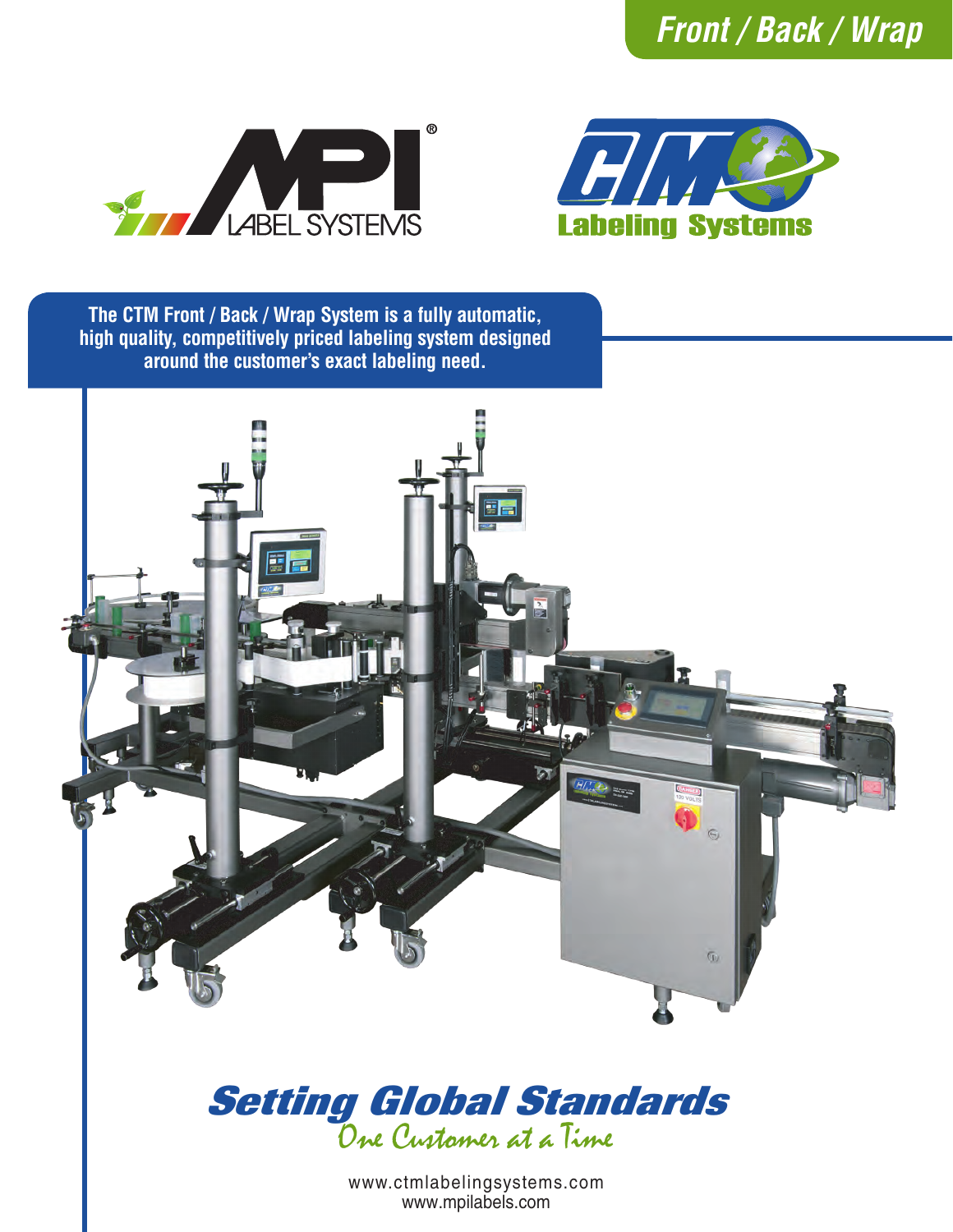





**The CTM Front / Back / Wrap System is a fully automatic, high quality, competitively priced labeling system designed around the customer's exact labeling need.**





www.ctmlabelingsystems.com www.mpilabels.com